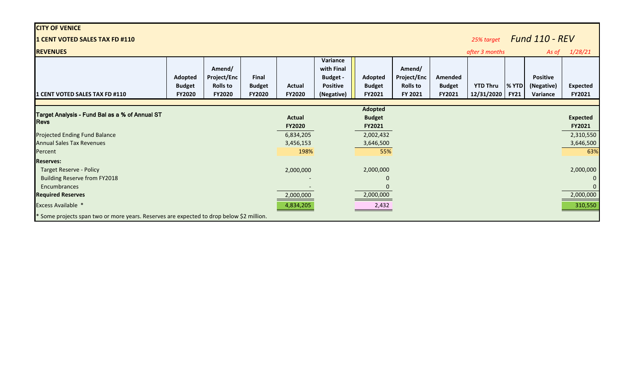| <b>CITY OF VENICE</b>                                                                    |                                           |                                                           |                                         |                  |                                                                            |                                    |                                                     |                                    |                                     |                      |                                           |                                  |
|------------------------------------------------------------------------------------------|-------------------------------------------|-----------------------------------------------------------|-----------------------------------------|------------------|----------------------------------------------------------------------------|------------------------------------|-----------------------------------------------------|------------------------------------|-------------------------------------|----------------------|-------------------------------------------|----------------------------------|
| 1 CENT VOTED SALES TAX FD #110                                                           |                                           |                                                           |                                         |                  |                                                                            |                                    |                                                     |                                    | <b>Fund 110 - REV</b><br>25% target |                      |                                           |                                  |
| <b>REVENUES</b>                                                                          |                                           |                                                           |                                         |                  |                                                                            |                                    |                                                     |                                    | after 3 months                      |                      | As of                                     | 1/28/21                          |
| 1 CENT VOTED SALES TAX FD #110                                                           | Adopted<br><b>Budget</b><br><b>FY2020</b> | Amend/<br><b>Project/Enc</b><br><b>Rolls to</b><br>FY2020 | Final<br><b>Budget</b><br><b>FY2020</b> | Actual<br>FY2020 | Variance<br>with Final<br><b>Budget -</b><br><b>Positive</b><br>(Negative) | Adopted<br><b>Budget</b><br>FY2021 | Amend/<br>Project/Enc<br><b>Rolls to</b><br>FY 2021 | Amended<br><b>Budget</b><br>FY2021 | <b>YTD Thru</b><br>12/31/2020       | % YTD<br><b>FY21</b> | <b>Positive</b><br>(Negative)<br>Variance | <b>Expected</b><br><b>FY2021</b> |
|                                                                                          |                                           |                                                           |                                         |                  |                                                                            | Adopted                            |                                                     |                                    |                                     |                      |                                           |                                  |
| Target Analysis - Fund Bal as a % of Annual ST                                           |                                           |                                                           |                                         | <b>Actual</b>    |                                                                            | <b>Budget</b>                      |                                                     |                                    |                                     |                      |                                           | <b>Expected</b>                  |
| <b>Revs</b>                                                                              |                                           |                                                           |                                         | FY2020           |                                                                            | FY2021                             |                                                     |                                    |                                     |                      |                                           | <b>FY2021</b>                    |
| <b>Projected Ending Fund Balance</b>                                                     |                                           |                                                           |                                         | 6,834,205        |                                                                            | 2,002,432                          |                                                     |                                    |                                     |                      |                                           | 2,310,550                        |
| <b>Annual Sales Tax Revenues</b>                                                         |                                           |                                                           |                                         | 3,456,153        |                                                                            | 3,646,500                          |                                                     |                                    |                                     |                      |                                           | 3,646,500                        |
| Percent                                                                                  |                                           |                                                           |                                         | 198%             |                                                                            | 55%                                |                                                     |                                    |                                     |                      |                                           | 63%                              |
| <b>Reserves:</b>                                                                         |                                           |                                                           |                                         |                  |                                                                            |                                    |                                                     |                                    |                                     |                      |                                           |                                  |
| <b>Target Reserve - Policy</b>                                                           |                                           |                                                           |                                         | 2,000,000        |                                                                            | 2,000,000                          |                                                     |                                    |                                     |                      |                                           | 2,000,000                        |
| <b>Building Reserve from FY2018</b>                                                      |                                           |                                                           |                                         |                  |                                                                            | ი                                  |                                                     |                                    |                                     |                      |                                           | $\mathbf{0}$                     |
| Encumbrances                                                                             |                                           |                                                           |                                         |                  |                                                                            |                                    |                                                     |                                    |                                     |                      |                                           | $\mathbf{0}$                     |
| <b>Required Reserves</b>                                                                 |                                           |                                                           |                                         | 2,000,000        |                                                                            | 2,000,000                          |                                                     |                                    |                                     |                      |                                           | 2,000,000                        |
| Excess Available *                                                                       |                                           |                                                           |                                         | 4,834,205        |                                                                            | 2,432                              |                                                     |                                    |                                     |                      |                                           | 310,550                          |
| * Some projects span two or more years. Reserves are expected to drop below \$2 million. |                                           |                                                           |                                         |                  |                                                                            |                                    |                                                     |                                    |                                     |                      |                                           |                                  |